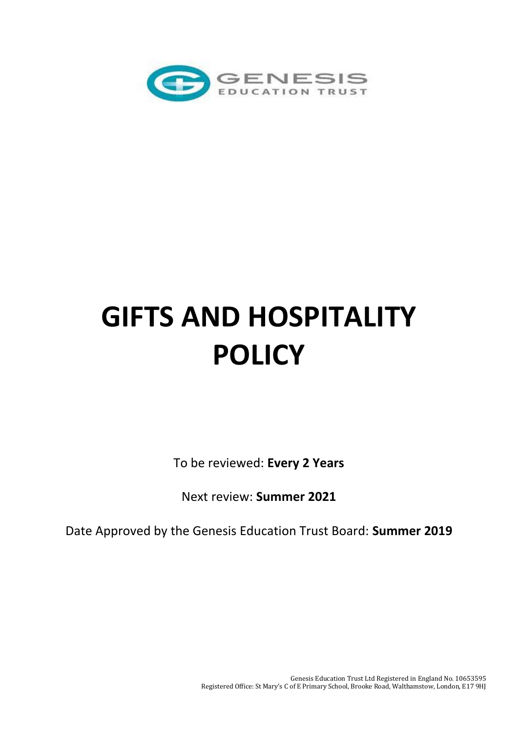

## **GIFTS AND HOSPITALITY POLICY**

To be reviewed: **Every 2 Years**

Next review: **Summer 2021**

Date Approved by the Genesis Education Trust Board: **Summer 2019**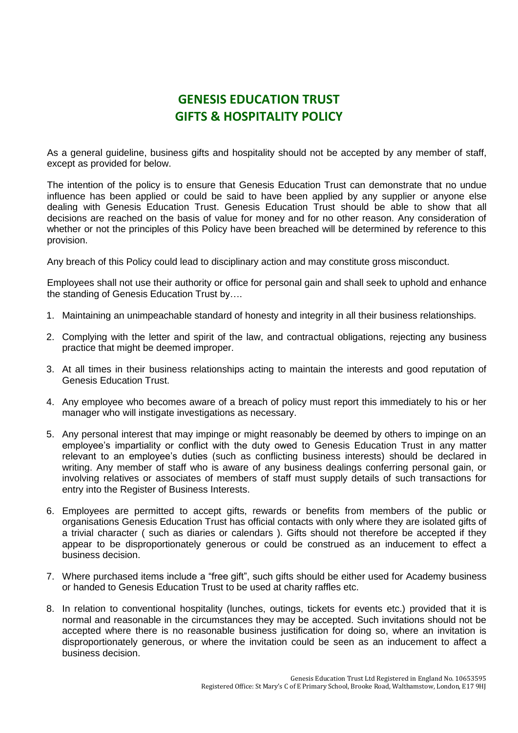## **GENESIS EDUCATION TRUST GIFTS & HOSPITALITY POLICY**

As a general guideline, business gifts and hospitality should not be accepted by any member of staff, except as provided for below.

The intention of the policy is to ensure that Genesis Education Trust can demonstrate that no undue influence has been applied or could be said to have been applied by any supplier or anyone else dealing with Genesis Education Trust. Genesis Education Trust should be able to show that all decisions are reached on the basis of value for money and for no other reason. Any consideration of whether or not the principles of this Policy have been breached will be determined by reference to this provision.

Any breach of this Policy could lead to disciplinary action and may constitute gross misconduct.

Employees shall not use their authority or office for personal gain and shall seek to uphold and enhance the standing of Genesis Education Trust by….

- 1. Maintaining an unimpeachable standard of honesty and integrity in all their business relationships.
- 2. Complying with the letter and spirit of the law, and contractual obligations, rejecting any business practice that might be deemed improper.
- 3. At all times in their business relationships acting to maintain the interests and good reputation of Genesis Education Trust.
- 4. Any employee who becomes aware of a breach of policy must report this immediately to his or her manager who will instigate investigations as necessary.
- 5. Any personal interest that may impinge or might reasonably be deemed by others to impinge on an employee's impartiality or conflict with the duty owed to Genesis Education Trust in any matter relevant to an employee's duties (such as conflicting business interests) should be declared in writing. Any member of staff who is aware of any business dealings conferring personal gain, or involving relatives or associates of members of staff must supply details of such transactions for entry into the Register of Business Interests.
- 6. Employees are permitted to accept gifts, rewards or benefits from members of the public or organisations Genesis Education Trust has official contacts with only where they are isolated gifts of a trivial character ( such as diaries or calendars ). Gifts should not therefore be accepted if they appear to be disproportionately generous or could be construed as an inducement to effect a business decision.
- 7. Where purchased items include a "free gift", such gifts should be either used for Academy business or handed to Genesis Education Trust to be used at charity raffles etc.
- 8. In relation to conventional hospitality (lunches, outings, tickets for events etc.) provided that it is normal and reasonable in the circumstances they may be accepted. Such invitations should not be accepted where there is no reasonable business justification for doing so, where an invitation is disproportionately generous, or where the invitation could be seen as an inducement to affect a business decision.